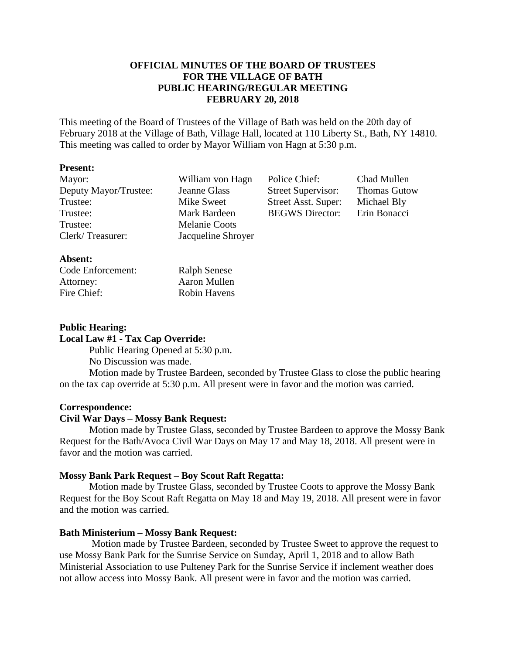## **OFFICIAL MINUTES OF THE BOARD OF TRUSTEES FOR THE VILLAGE OF BATH PUBLIC HEARING/REGULAR MEETING FEBRUARY 20, 2018**

This meeting of the Board of Trustees of the Village of Bath was held on the 20th day of February 2018 at the Village of Bath, Village Hall, located at 110 Liberty St., Bath, NY 14810. This meeting was called to order by Mayor William von Hagn at 5:30 p.m.

#### **Present:**

| Mayor:                | William von Hagn   | Police Chief:             | Chad Mullen         |
|-----------------------|--------------------|---------------------------|---------------------|
| Deputy Mayor/Trustee: | Jeanne Glass       | <b>Street Supervisor:</b> | <b>Thomas Gutow</b> |
| Trustee:              | Mike Sweet         | Street Asst. Super:       | Michael Bly         |
| Trustee:              | Mark Bardeen       | <b>BEGWS</b> Director:    | Erin Bonacci        |
| Trustee:              | Melanie Coots      |                           |                     |
| Clerk/Treasurer:      | Jacqueline Shroyer |                           |                     |
|                       |                    |                           |                     |

#### **Absent:**

| Code Enforcement: | <b>Ralph Senese</b> |
|-------------------|---------------------|
| Attorney:         | Aaron Mullen        |
| Fire Chief:       | <b>Robin Havens</b> |

#### **Public Hearing: Local Law #1 - Tax Cap Override:**

Public Hearing Opened at 5:30 p.m.

No Discussion was made.

Motion made by Trustee Bardeen, seconded by Trustee Glass to close the public hearing on the tax cap override at 5:30 p.m. All present were in favor and the motion was carried.

#### **Correspondence:**

### **Civil War Days – Mossy Bank Request:**

Motion made by Trustee Glass, seconded by Trustee Bardeen to approve the Mossy Bank Request for the Bath/Avoca Civil War Days on May 17 and May 18, 2018. All present were in favor and the motion was carried.

#### **Mossy Bank Park Request – Boy Scout Raft Regatta:**

Motion made by Trustee Glass, seconded by Trustee Coots to approve the Mossy Bank Request for the Boy Scout Raft Regatta on May 18 and May 19, 2018. All present were in favor and the motion was carried.

### **Bath Ministerium – Mossy Bank Request:**

Motion made by Trustee Bardeen, seconded by Trustee Sweet to approve the request to use Mossy Bank Park for the Sunrise Service on Sunday, April 1, 2018 and to allow Bath Ministerial Association to use Pulteney Park for the Sunrise Service if inclement weather does not allow access into Mossy Bank. All present were in favor and the motion was carried.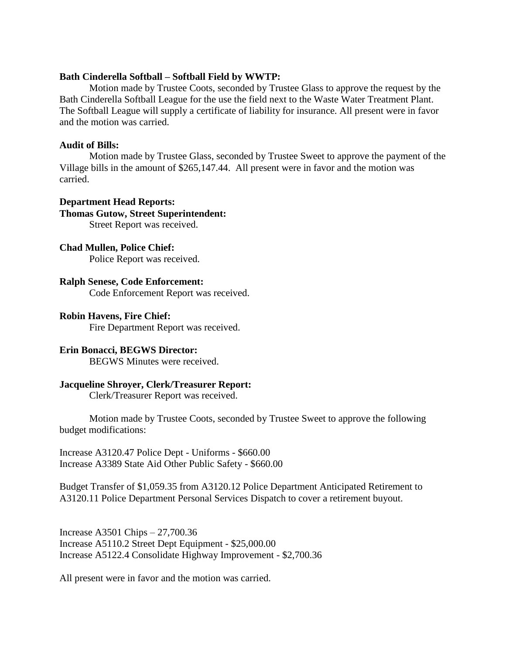#### **Bath Cinderella Softball – Softball Field by WWTP:**

Motion made by Trustee Coots, seconded by Trustee Glass to approve the request by the Bath Cinderella Softball League for the use the field next to the Waste Water Treatment Plant. The Softball League will supply a certificate of liability for insurance. All present were in favor and the motion was carried.

### **Audit of Bills:**

Motion made by Trustee Glass, seconded by Trustee Sweet to approve the payment of the Village bills in the amount of \$265,147.44. All present were in favor and the motion was carried.

#### **Department Head Reports:**

# **Thomas Gutow, Street Superintendent:**

Street Report was received.

#### **Chad Mullen, Police Chief:**

Police Report was received.

#### **Ralph Senese, Code Enforcement:** Code Enforcement Report was received.

#### **Robin Havens, Fire Chief:**

Fire Department Report was received.

#### **Erin Bonacci, BEGWS Director:**

BEGWS Minutes were received.

#### **Jacqueline Shroyer, Clerk/Treasurer Report:**

Clerk/Treasurer Report was received.

Motion made by Trustee Coots, seconded by Trustee Sweet to approve the following budget modifications:

Increase A3120.47 Police Dept - Uniforms - \$660.00 Increase A3389 State Aid Other Public Safety - \$660.00

Budget Transfer of \$1,059.35 from A3120.12 Police Department Anticipated Retirement to A3120.11 Police Department Personal Services Dispatch to cover a retirement buyout.

Increase A3501 Chips – 27,700.36 Increase A5110.2 Street Dept Equipment - \$25,000.00 Increase A5122.4 Consolidate Highway Improvement - \$2,700.36

All present were in favor and the motion was carried.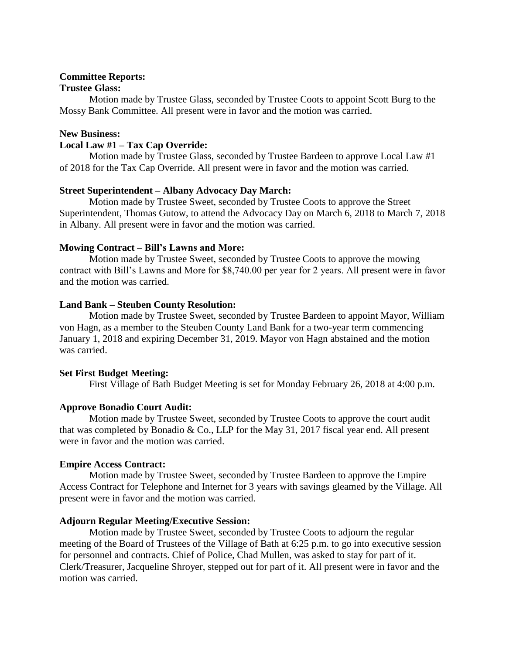#### **Committee Reports:**

#### **Trustee Glass:**

Motion made by Trustee Glass, seconded by Trustee Coots to appoint Scott Burg to the Mossy Bank Committee. All present were in favor and the motion was carried.

### **New Business:**

### **Local Law #1 – Tax Cap Override:**

Motion made by Trustee Glass, seconded by Trustee Bardeen to approve Local Law #1 of 2018 for the Tax Cap Override. All present were in favor and the motion was carried.

### **Street Superintendent – Albany Advocacy Day March:**

Motion made by Trustee Sweet, seconded by Trustee Coots to approve the Street Superintendent, Thomas Gutow, to attend the Advocacy Day on March 6, 2018 to March 7, 2018 in Albany. All present were in favor and the motion was carried.

### **Mowing Contract – Bill's Lawns and More:**

Motion made by Trustee Sweet, seconded by Trustee Coots to approve the mowing contract with Bill's Lawns and More for \$8,740.00 per year for 2 years. All present were in favor and the motion was carried.

### **Land Bank – Steuben County Resolution:**

Motion made by Trustee Sweet, seconded by Trustee Bardeen to appoint Mayor, William von Hagn, as a member to the Steuben County Land Bank for a two-year term commencing January 1, 2018 and expiring December 31, 2019. Mayor von Hagn abstained and the motion was carried.

### **Set First Budget Meeting:**

First Village of Bath Budget Meeting is set for Monday February 26, 2018 at 4:00 p.m.

### **Approve Bonadio Court Audit:**

Motion made by Trustee Sweet, seconded by Trustee Coots to approve the court audit that was completed by Bonadio & Co., LLP for the May 31, 2017 fiscal year end. All present were in favor and the motion was carried.

#### **Empire Access Contract:**

Motion made by Trustee Sweet, seconded by Trustee Bardeen to approve the Empire Access Contract for Telephone and Internet for 3 years with savings gleamed by the Village. All present were in favor and the motion was carried.

#### **Adjourn Regular Meeting/Executive Session:**

Motion made by Trustee Sweet, seconded by Trustee Coots to adjourn the regular meeting of the Board of Trustees of the Village of Bath at 6:25 p.m. to go into executive session for personnel and contracts. Chief of Police, Chad Mullen, was asked to stay for part of it. Clerk/Treasurer, Jacqueline Shroyer, stepped out for part of it. All present were in favor and the motion was carried.